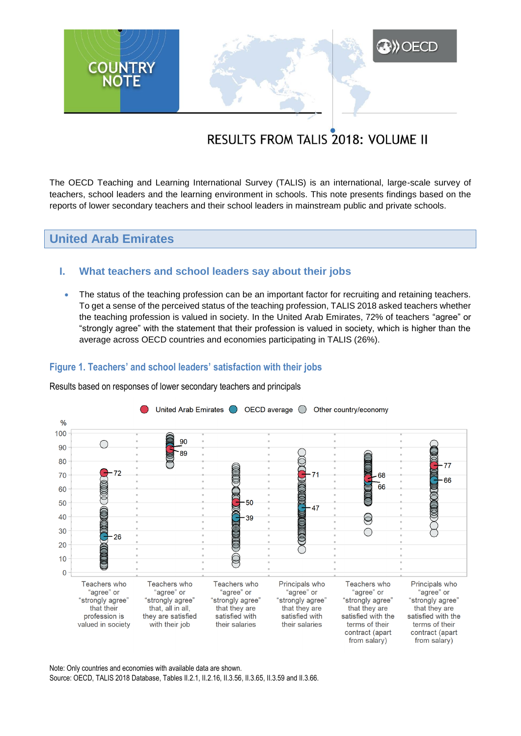

# **RESULTS FROM TALIS 2018: VOLUME II**

The OECD Teaching and Learning International Survey (TALIS) is an international, large-scale survey of teachers, school leaders and the learning environment in schools. This note presents findings based on the reports of lower secondary teachers and their school leaders in mainstream public and private schools.

# **United Arab Emirates**

# **I. What teachers and school leaders say about their jobs**

• The status of the teaching profession can be an important factor for recruiting and retaining teachers. To get a sense of the perceived status of the teaching profession, TALIS 2018 asked teachers whether the teaching profession is valued in society. In the United Arab Emirates, 72% of teachers "agree" or "strongly agree" with the statement that their profession is valued in society, which is higher than the average across OECD countries and economies participating in TALIS (26%).

### **Figure 1. Teachers' and school leaders' satisfaction with their jobs**

Results based on responses of lower secondary teachers and principals



Note: Only countries and economies with available data are shown. Source: OECD, TALIS 2018 Database, Tables II.2.1, II.2.16, II.3.56, II.3.65, II.3.59 and II.3.66.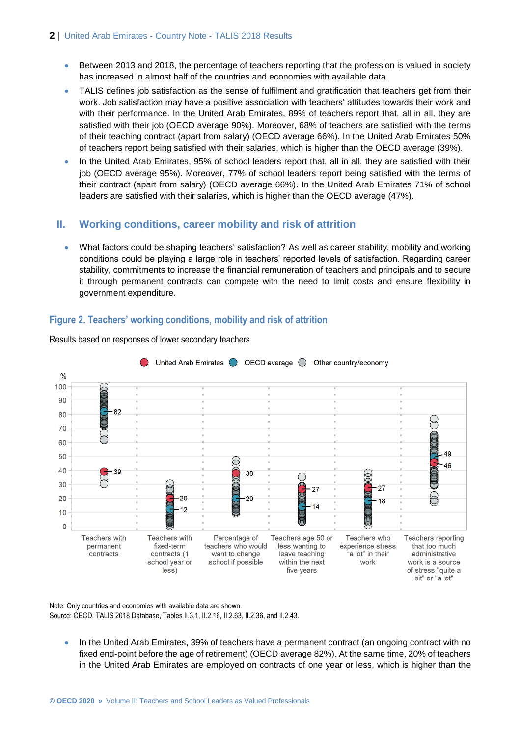- Between 2013 and 2018, the percentage of teachers reporting that the profession is valued in society has increased in almost half of the countries and economies with available data.
- TALIS defines job satisfaction as the sense of fulfilment and gratification that teachers get from their work. Job satisfaction may have a positive association with teachers' attitudes towards their work and with their performance. In the United Arab Emirates, 89% of teachers report that, all in all, they are satisfied with their job (OECD average 90%). Moreover, 68% of teachers are satisfied with the terms of their teaching contract (apart from salary) (OECD average 66%). In the United Arab Emirates 50% of teachers report being satisfied with their salaries, which is higher than the OECD average (39%).
- In the United Arab Emirates, 95% of school leaders report that, all in all, they are satisfied with their job (OECD average 95%). Moreover, 77% of school leaders report being satisfied with the terms of their contract (apart from salary) (OECD average 66%). In the United Arab Emirates 71% of school leaders are satisfied with their salaries, which is higher than the OECD average (47%).

# **II. Working conditions, career mobility and risk of attrition**

 What factors could be shaping teachers' satisfaction? As well as career stability, mobility and working conditions could be playing a large role in teachers' reported levels of satisfaction. Regarding career stability, commitments to increase the financial remuneration of teachers and principals and to secure it through permanent contracts can compete with the need to limit costs and ensure flexibility in government expenditure.

# **Figure 2. Teachers' working conditions, mobility and risk of attrition**



Results based on responses of lower secondary teachers

Note: Only countries and economies with available data are shown. Source: OECD, TALIS 2018 Database, Tables II.3.1, II.2.16, II.2.63, II.2.36, and II.2.43.

In the United Arab Emirates, 39% of teachers have a permanent contract (an ongoing contract with no fixed end-point before the age of retirement) (OECD average 82%). At the same time, 20% of teachers in the United Arab Emirates are employed on contracts of one year or less, which is higher than the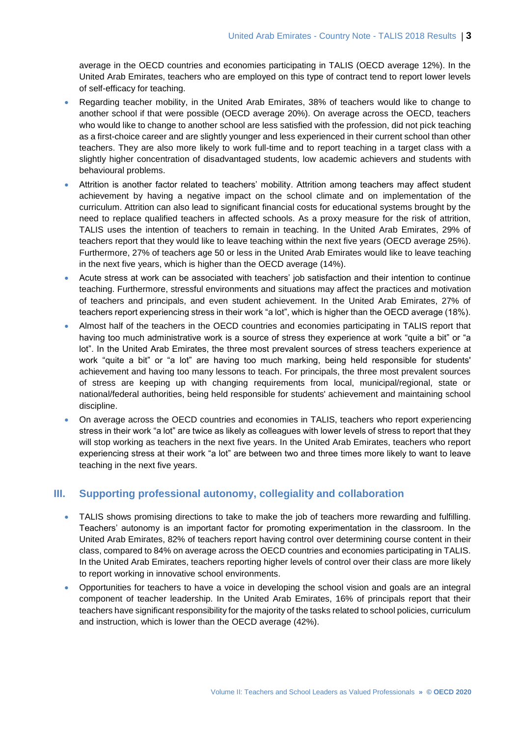average in the OECD countries and economies participating in TALIS (OECD average 12%). In the United Arab Emirates, teachers who are employed on this type of contract tend to report lower levels of self-efficacy for teaching.

- Regarding teacher mobility, in the United Arab Emirates, 38% of teachers would like to change to another school if that were possible (OECD average 20%). On average across the OECD, teachers who would like to change to another school are less satisfied with the profession, did not pick teaching as a first-choice career and are slightly younger and less experienced in their current school than other teachers. They are also more likely to work full-time and to report teaching in a target class with a slightly higher concentration of disadvantaged students, low academic achievers and students with behavioural problems.
- Attrition is another factor related to teachers' mobility. Attrition among teachers may affect student achievement by having a negative impact on the school climate and on implementation of the curriculum. Attrition can also lead to significant financial costs for educational systems brought by the need to replace qualified teachers in affected schools. As a proxy measure for the risk of attrition, TALIS uses the intention of teachers to remain in teaching. In the United Arab Emirates, 29% of teachers report that they would like to leave teaching within the next five years (OECD average 25%). Furthermore, 27% of teachers age 50 or less in the United Arab Emirates would like to leave teaching in the next five years, which is higher than the OECD average (14%).
- Acute stress at work can be associated with teachers' job satisfaction and their intention to continue teaching. Furthermore, stressful environments and situations may affect the practices and motivation of teachers and principals, and even student achievement. In the United Arab Emirates, 27% of teachers report experiencing stress in their work "a lot", which is higher than the OECD average (18%).
- Almost half of the teachers in the OECD countries and economies participating in TALIS report that having too much administrative work is a source of stress they experience at work "quite a bit" or "a lot". In the United Arab Emirates, the three most prevalent sources of stress teachers experience at work "quite a bit" or "a lot" are having too much marking, being held responsible for students' achievement and having too many lessons to teach. For principals, the three most prevalent sources of stress are keeping up with changing requirements from local, municipal/regional, state or national/federal authorities, being held responsible for students' achievement and maintaining school discipline.
- On average across the OECD countries and economies in TALIS, teachers who report experiencing stress in their work "a lot" are twice as likely as colleagues with lower levels of stress to report that they will stop working as teachers in the next five years. In the United Arab Emirates, teachers who report experiencing stress at their work "a lot" are between two and three times more likely to want to leave teaching in the next five years.

# **III. Supporting professional autonomy, collegiality and collaboration**

- TALIS shows promising directions to take to make the job of teachers more rewarding and fulfilling. Teachers' autonomy is an important factor for promoting experimentation in the classroom. In the United Arab Emirates, 82% of teachers report having control over determining course content in their class, compared to 84% on average across the OECD countries and economies participating in TALIS. In the United Arab Emirates, teachers reporting higher levels of control over their class are more likely to report working in innovative school environments.
- Opportunities for teachers to have a voice in developing the school vision and goals are an integral component of teacher leadership. In the United Arab Emirates, 16% of principals report that their teachers have significant responsibility for the majority of the tasks related to school policies, curriculum and instruction, which is lower than the OECD average (42%).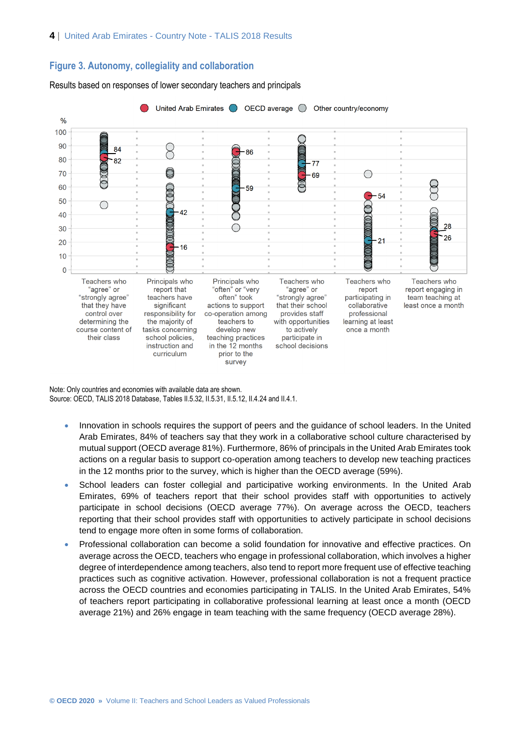#### **Figure 3. Autonomy, collegiality and collaboration**

Results based on responses of lower secondary teachers and principals



Note: Only countries and economies with available data are shown. Source: OECD, TALIS 2018 Database, Tables II.5.32, II.5.31, II.5.12, II.4.24 and II.4.1.

- Innovation in schools requires the support of peers and the guidance of school leaders. In the United Arab Emirates, 84% of teachers say that they work in a collaborative school culture characterised by mutual support (OECD average 81%). Furthermore, 86% of principals in the United Arab Emirates took actions on a regular basis to support co-operation among teachers to develop new teaching practices in the 12 months prior to the survey, which is higher than the OECD average (59%).
- School leaders can foster collegial and participative working environments. In the United Arab Emirates, 69% of teachers report that their school provides staff with opportunities to actively participate in school decisions (OECD average 77%). On average across the OECD, teachers reporting that their school provides staff with opportunities to actively participate in school decisions tend to engage more often in some forms of collaboration.
- Professional collaboration can become a solid foundation for innovative and effective practices. On average across the OECD, teachers who engage in professional collaboration, which involves a higher degree of interdependence among teachers, also tend to report more frequent use of effective teaching practices such as cognitive activation. However, professional collaboration is not a frequent practice across the OECD countries and economies participating in TALIS. In the United Arab Emirates, 54% of teachers report participating in collaborative professional learning at least once a month (OECD average 21%) and 26% engage in team teaching with the same frequency (OECD average 28%).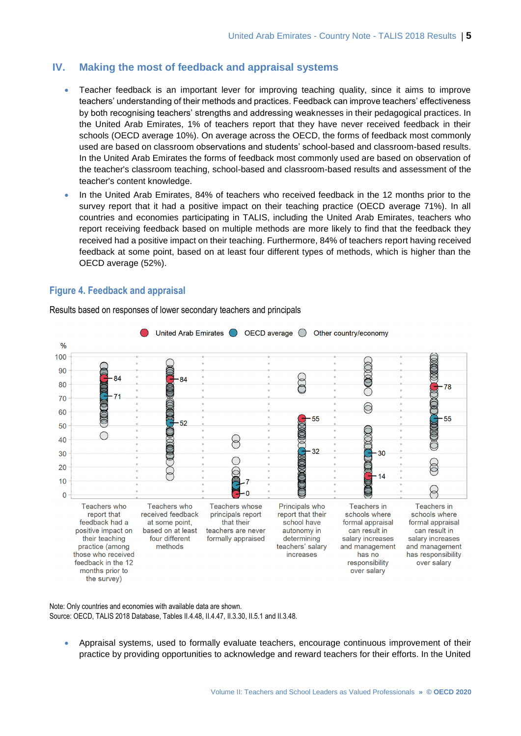# **IV. Making the most of feedback and appraisal systems**

- Teacher feedback is an important lever for improving teaching quality, since it aims to improve teachers' understanding of their methods and practices. Feedback can improve teachers' effectiveness by both recognising teachers' strengths and addressing weaknesses in their pedagogical practices. In the United Arab Emirates, 1% of teachers report that they have never received feedback in their schools (OECD average 10%). On average across the OECD, the forms of feedback most commonly used are based on classroom observations and students' school-based and classroom-based results. In the United Arab Emirates the forms of feedback most commonly used are based on observation of the teacher's classroom teaching, school-based and classroom-based results and assessment of the teacher's content knowledge.
- In the United Arab Emirates, 84% of teachers who received feedback in the 12 months prior to the survey report that it had a positive impact on their teaching practice (OECD average 71%). In all countries and economies participating in TALIS, including the United Arab Emirates, teachers who report receiving feedback based on multiple methods are more likely to find that the feedback they received had a positive impact on their teaching. Furthermore, 84% of teachers report having received feedback at some point, based on at least four different types of methods, which is higher than the OECD average (52%).

### **Figure 4. Feedback and appraisal**



Results based on responses of lower secondary teachers and principals

Note: Only countries and economies with available data are shown. Source: OECD, TALIS 2018 Database, Tables II.4.48, II.4.47, II.3.30, II.5.1 and II.3.48.

 Appraisal systems, used to formally evaluate teachers, encourage continuous improvement of their practice by providing opportunities to acknowledge and reward teachers for their efforts. In the United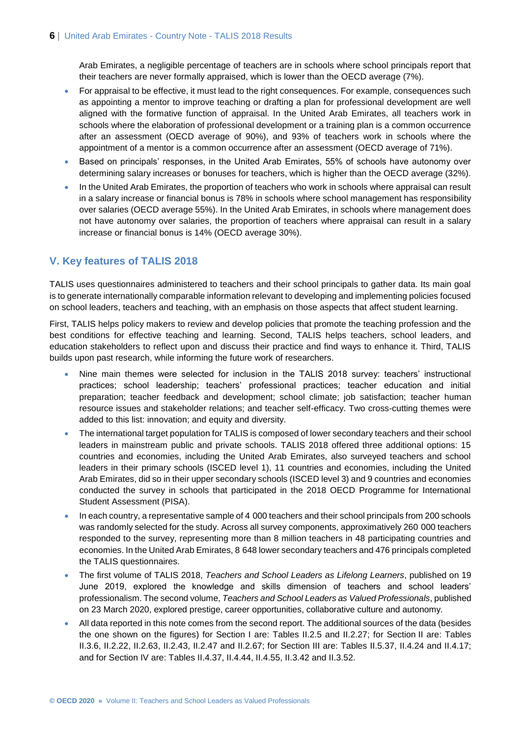Arab Emirates, a negligible percentage of teachers are in schools where school principals report that their teachers are never formally appraised, which is lower than the OECD average (7%).

- For appraisal to be effective, it must lead to the right consequences. For example, consequences such as appointing a mentor to improve teaching or drafting a plan for professional development are well aligned with the formative function of appraisal. In the United Arab Emirates, all teachers work in schools where the elaboration of professional development or a training plan is a common occurrence after an assessment (OECD average of 90%), and 93% of teachers work in schools where the appointment of a mentor is a common occurrence after an assessment (OECD average of 71%).
- Based on principals' responses, in the United Arab Emirates, 55% of schools have autonomy over determining salary increases or bonuses for teachers, which is higher than the OECD average (32%).
- In the United Arab Emirates, the proportion of teachers who work in schools where appraisal can result in a salary increase or financial bonus is 78% in schools where school management has responsibility over salaries (OECD average 55%). In the United Arab Emirates, in schools where management does not have autonomy over salaries, the proportion of teachers where appraisal can result in a salary increase or financial bonus is 14% (OECD average 30%).

# **V. Key features of TALIS 2018**

TALIS uses questionnaires administered to teachers and their school principals to gather data. Its main goal is to generate internationally comparable information relevant to developing and implementing policies focused on school leaders, teachers and teaching, with an emphasis on those aspects that affect student learning.

First, TALIS helps policy makers to review and develop policies that promote the teaching profession and the best conditions for effective teaching and learning. Second, TALIS helps teachers, school leaders, and education stakeholders to reflect upon and discuss their practice and find ways to enhance it. Third, TALIS builds upon past research, while informing the future work of researchers.

- Nine main themes were selected for inclusion in the TALIS 2018 survey: teachers' instructional practices; school leadership; teachers' professional practices; teacher education and initial preparation; teacher feedback and development; school climate; job satisfaction; teacher human resource issues and stakeholder relations; and teacher self-efficacy. Two cross-cutting themes were added to this list: innovation; and equity and diversity.
- The international target population for TALIS is composed of lower secondary teachers and their school leaders in mainstream public and private schools. TALIS 2018 offered three additional options: 15 countries and economies, including the United Arab Emirates, also surveyed teachers and school leaders in their primary schools (ISCED level 1), 11 countries and economies, including the United Arab Emirates, did so in their upper secondary schools (ISCED level 3) and 9 countries and economies conducted the survey in schools that participated in the 2018 OECD Programme for International Student Assessment (PISA).
- In each country, a representative sample of 4 000 teachers and their school principals from 200 schools was randomly selected for the study. Across all survey components, approximatively 260 000 teachers responded to the survey, representing more than 8 million teachers in 48 participating countries and economies. In the United Arab Emirates, 8 648 lower secondary teachers and 476 principals completed the TALIS questionnaires.
- The first volume of TALIS 2018, *Teachers and School Leaders as Lifelong Learners*, published on 19 June 2019, explored the knowledge and skills dimension of teachers and school leaders' professionalism. The second volume, *Teachers and School Leaders as Valued Professionals*, published on 23 March 2020, explored prestige, career opportunities, collaborative culture and autonomy.
- All data reported in this note comes from the second report. The additional sources of the data (besides the one shown on the figures) for Section I are: Tables II.2.5 and II.2.27; for Section II are: Tables II.3.6, II.2.22, II.2.63, II.2.43, II.2.47 and II.2.67; for Section III are: Tables II.5.37, II.4.24 and II.4.17; and for Section IV are: Tables II.4.37, II.4.44, II.4.55, II.3.42 and II.3.52.